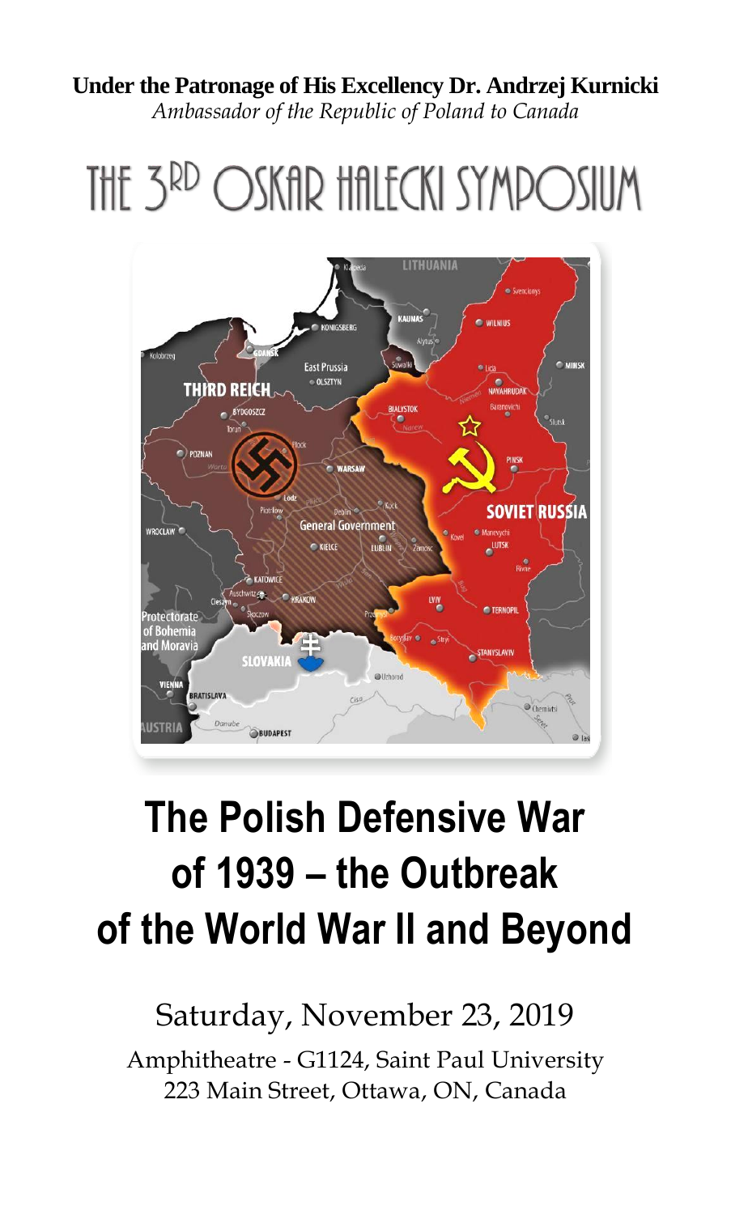## **Under the Patronage of His Excellency Dr. Andrzej Kurnicki**

*Ambassador of the Republic of Poland to Canada*

THE 3RD OSKAR HALECKI SYMPOSIUM



# **The Polish Defensive War of 1939 – the Outbreak of the World War II and Beyond**

## Saturday, November 23, 2019

Amphitheatre - G1124, Saint Paul University 223 Main Street, Ottawa, ON, Canada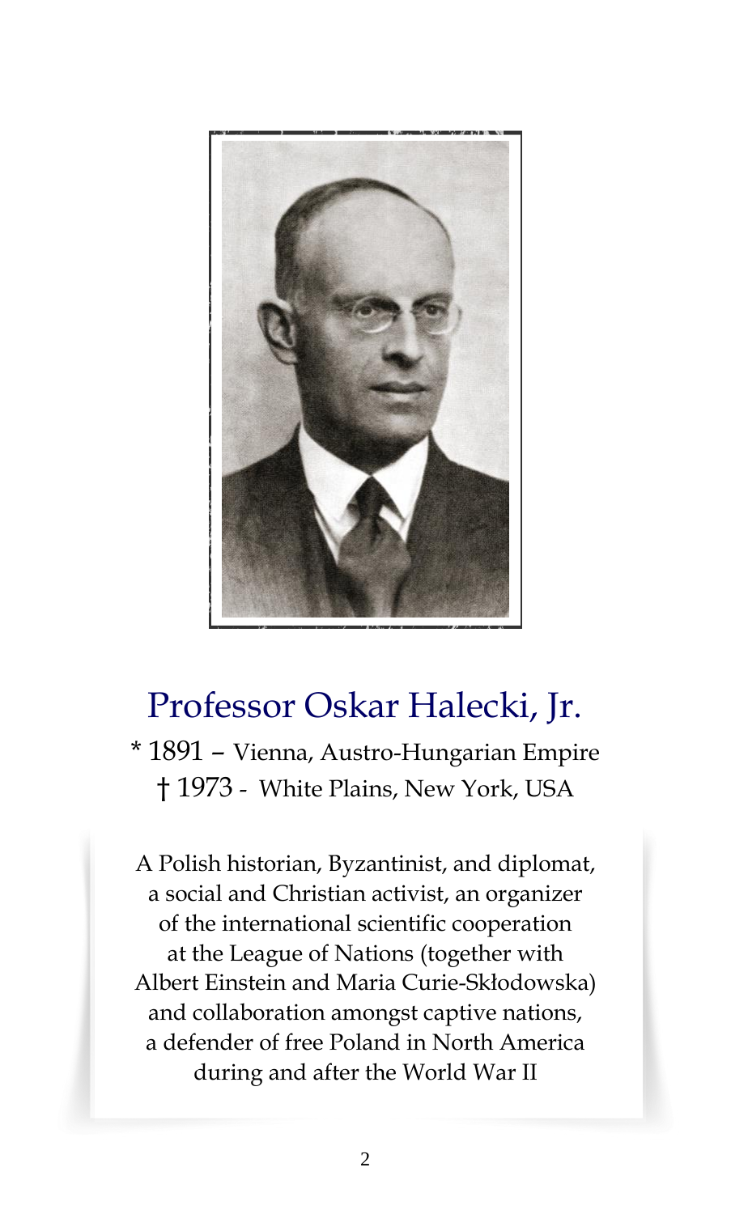

## Professor Oskar Halecki, Jr.

\* 1891 – Vienna, Austro-Hungarian Empire † 1973 - White Plains, New York, USA

A Polish historian, Byzantinist, and diplomat, a social and Christian activist, an organizer of the international scientific cooperation at the League of Nations (together with Albert Einstein and Maria Curie-Skłodowska) and collaboration amongst captive nations, a defender of free Poland in North America during and after the World War II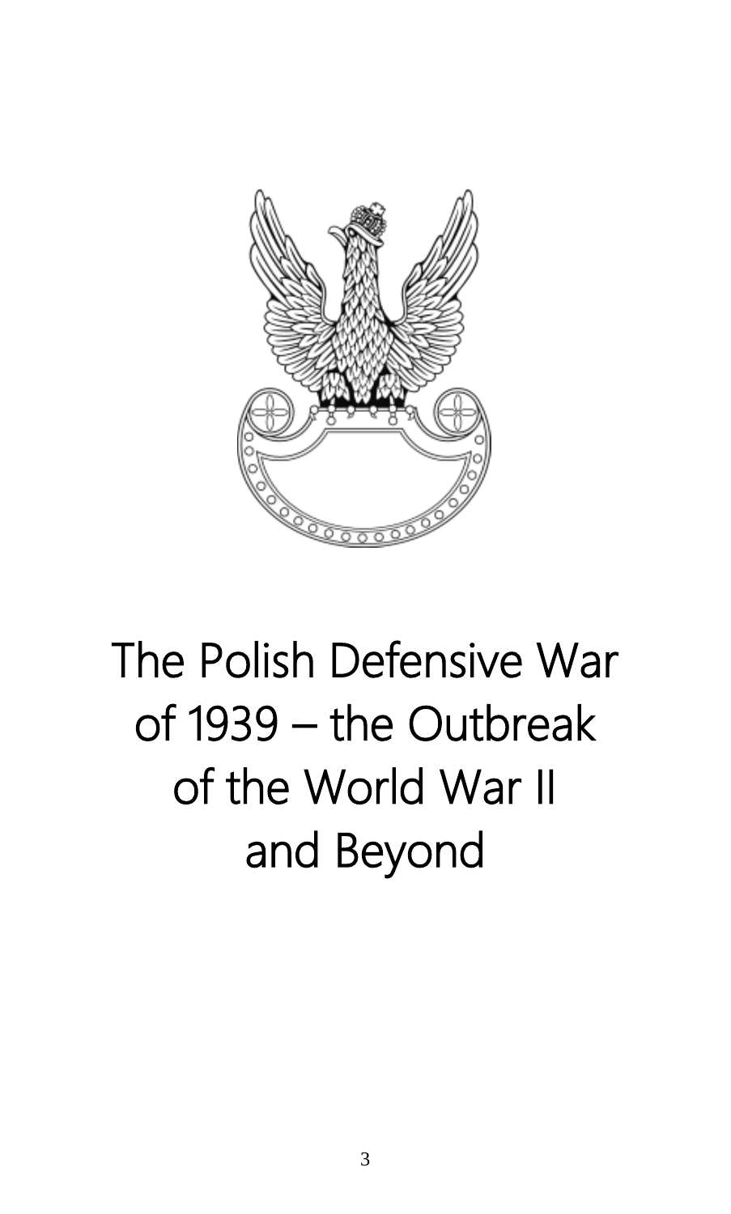

# The Polish Defensive War of 1939 – the Outbreak of the World War II and Beyond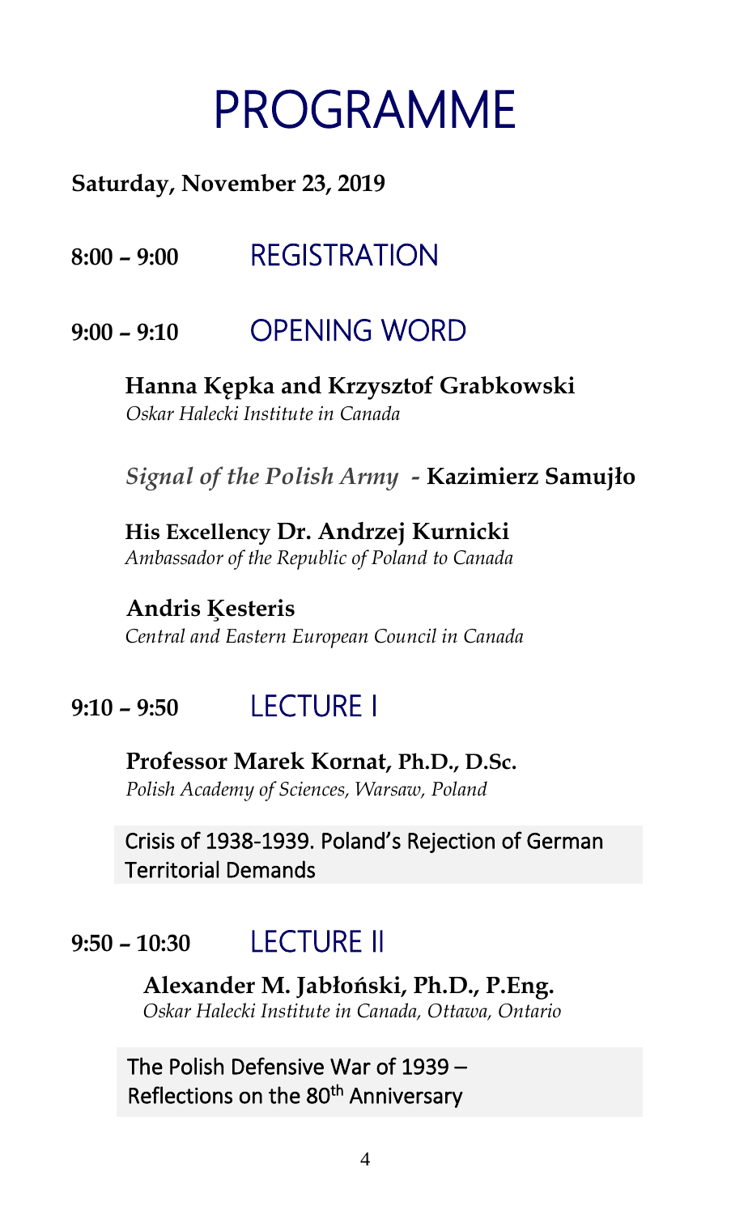# PROGRAMME

#### **Saturday, November 23, 2019**

**8:00 – 9:00** REGISTRATION

#### **9:00 – 9:10** OPENING WORD

### **Hanna Kępka and Krzysztof Grabkowski**

*Oskar Halecki Institute in Canada*

*Signal of the Polish Army -* **Kazimierz Samujło**

## **His Excellency Dr. Andrzej Kurnicki**

*Ambassador of the Republic of Poland to Canada*

**Andris Ķesteris** *Central and Eastern European Council in Canada*

### **9:10 – 9:50** LECTURE I

**Professor Marek Kornat, Ph.D., D.Sc.** *Polish Academy of Sciences, Warsaw, Poland*

Crisis of 1938-1939. Poland's Rejection of German Territorial Demands

### **9:50 – 10:30** LECTURE II

**Alexander M. Jabłoński, Ph.D., P.Eng.** *Oskar Halecki Institute in Canada, Ottawa, Ontario*

The Polish Defensive War of 1939 – Reflections on the 80<sup>th</sup> Anniversary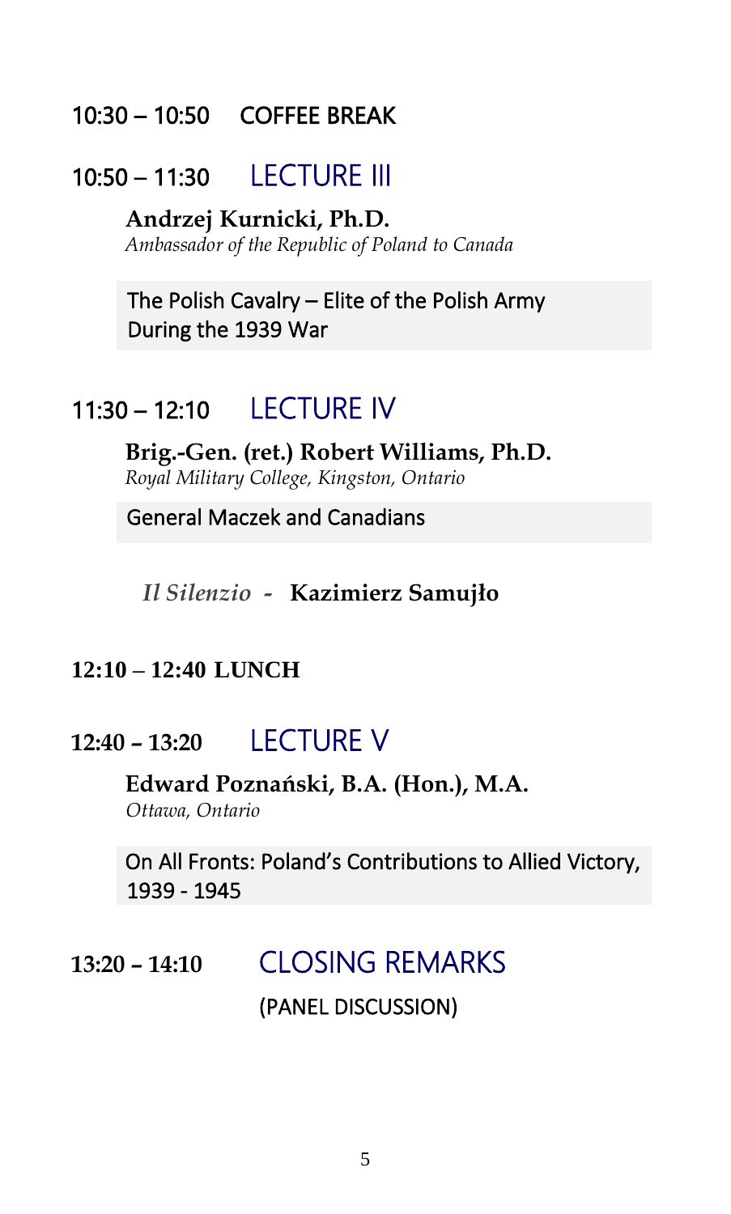#### 10:30 – 10:50 COFFEE BREAK

#### 10:50 – 11:30 LECTURE III

**Andrzej Kurnicki, Ph.D.** *Ambassador of the Republic of Poland to Canada*

The Polish Cavalry – Elite of the Polish Army During the 1939 War

#### 11:30 – 12:10 LECTURE IV

**Brig.-Gen. (ret.) Robert Williams, Ph.D.** *Royal Military College, Kingston, Ontario*

General Maczek and Canadians

*Il Silenzio -* **Kazimierz Samujło**

#### **12:10 – 12:40 LUNCH**

#### **12:40 – 13:20** LECTURE V

**Edward Poznański, B.A. (Hon.), M.A.** *Ottawa, Ontario*

On All Fronts: Poland's Contributions to Allied Victory, 1939 - 1945

## **13:20 – 14:10** CLOSING REMARKS (PANEL DISCUSSION)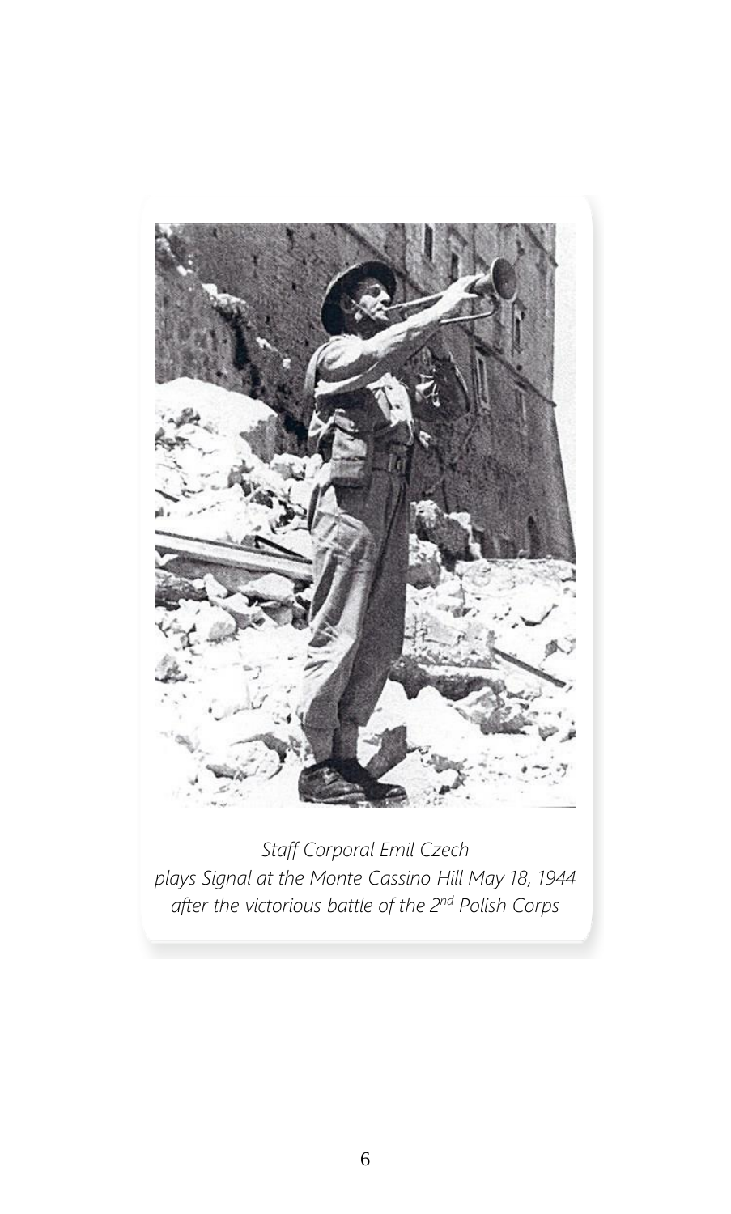

*Staff Corporal Emil Czech plays Signal at the Monte Cassino Hill May 18, 1944 after the victorious battle of the 2nd Polish Corps*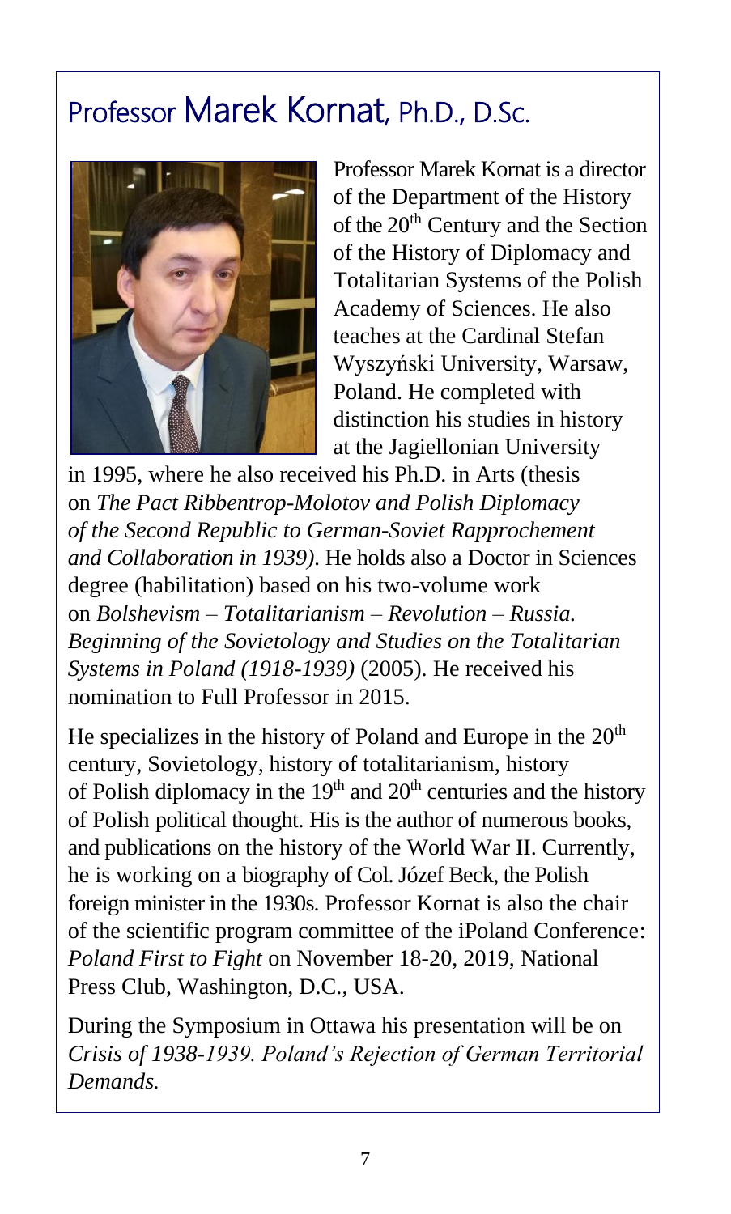## Professor Marek Kornat, Ph.D., D.Sc.



Professor Marek Kornat is a director of the Department of the History of the 20<sup>th</sup> Century and the Section of the History of Diplomacy and Totalitarian Systems of the Polish Academy of Sciences. He also teaches at the Cardinal Stefan Wyszyński University, Warsaw, Poland. He completed with distinction his studies in history at the Jagiellonian University

in 1995, where he also received his Ph.D. in Arts (thesis on *The Pact Ribbentrop-Molotov and Polish Diplomacy of the Second Republic to German-Soviet Rapprochement and Collaboration in 1939)*. He holds also a Doctor in Sciences degree (habilitation) based on his two-volume work on *Bolshevism – Totalitarianism – Revolution – Russia. Beginning of the Sovietology and Studies on the Totalitarian Systems in Poland (1918-1939)* (2005). He received his nomination to Full Professor in 2015.

He specializes in the history of Poland and Europe in the  $20<sup>th</sup>$ century, Sovietology, history of totalitarianism, history of Polish diplomacy in the  $19<sup>th</sup>$  and  $20<sup>th</sup>$  centuries and the history of Polish political thought. His is the author of numerous books, and publications on the history of the World War II. Currently, he is working on a biography of Col. Józef Beck, the Polish foreign minister in the 1930s. Professor Kornat is also the chair of the scientific program committee of the iPoland Conference: *Poland First to Fight* on November 18-20, 2019, National Press Club, Washington, D.C., USA.

During the Symposium in Ottawa his presentation will be on *Crisis of 1938-1939. Poland's Rejection of German Territorial Demands.*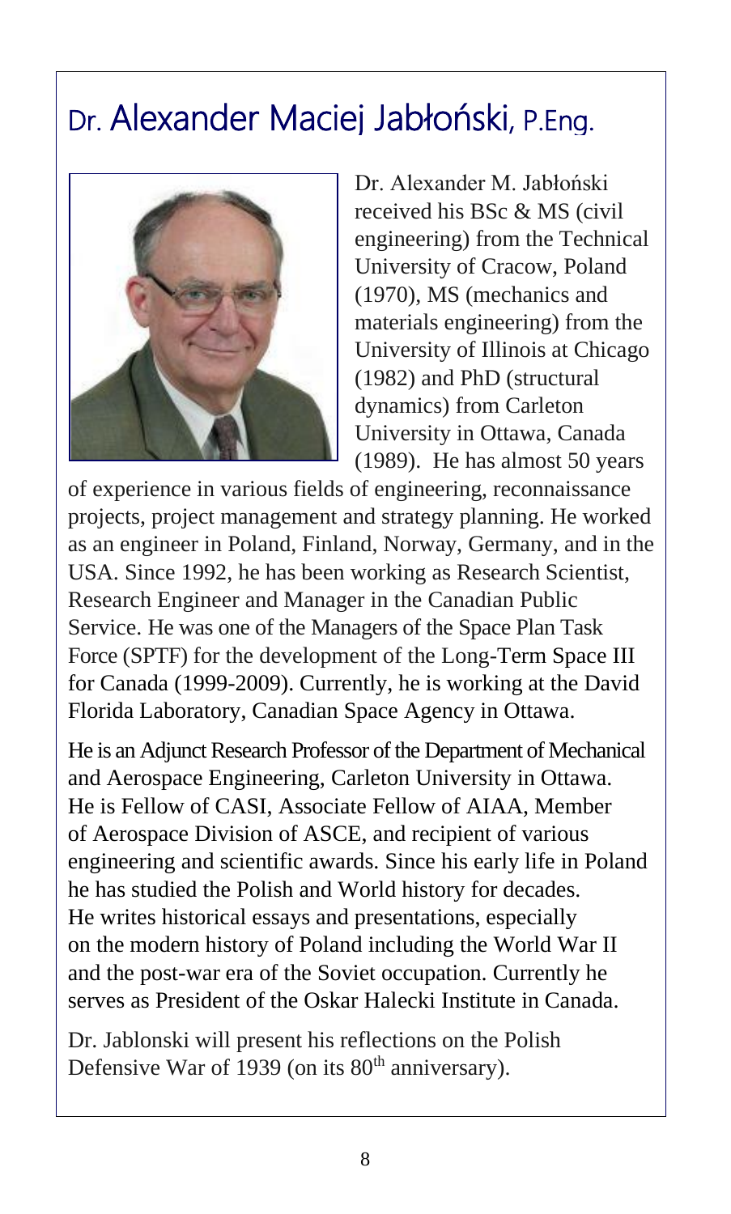## Dr. Alexander Maciej Jabłoński, P.Eng.



Dr. Alexander M. Jabłoński received his BSc & MS (civil engineering) from the Technical University of Cracow, Poland (1970), MS (mechanics and materials engineering) from the University of Illinois at Chicago (1982) and PhD (structural dynamics) from Carleton University in Ottawa, Canada (1989). He has almost 50 years

of experience in various fields of engineering, reconnaissance projects, project management and strategy planning. He worked as an engineer in Poland, Finland, Norway, Germany, and in the USA. Since 1992, he has been working as Research Scientist, Research Engineer and Manager in the Canadian Public Service. He was one of the Managers of the Space Plan Task Force (SPTF) for the development of the Long-Term Space III for Canada (1999-2009). Currently, he is working at the David Florida Laboratory, Canadian Space Agency in Ottawa.

He is an Adjunct Research Professor of the Department of Mechanical and Aerospace Engineering, Carleton University in Ottawa. He is Fellow of CASI, Associate Fellow of AIAA, Member of Aerospace Division of ASCE, and recipient of various engineering and scientific awards. Since his early life in Poland he has studied the Polish and World history for decades. He writes historical essays and presentations, especially on the modern history of Poland including the World War II and the post-war era of the Soviet occupation. Currently he serves as President of the Oskar Halecki Institute in Canada.

Dr. Jablonski will present his reflections on the Polish Defensive War of 1939 (on its  $80<sup>th</sup>$  anniversary).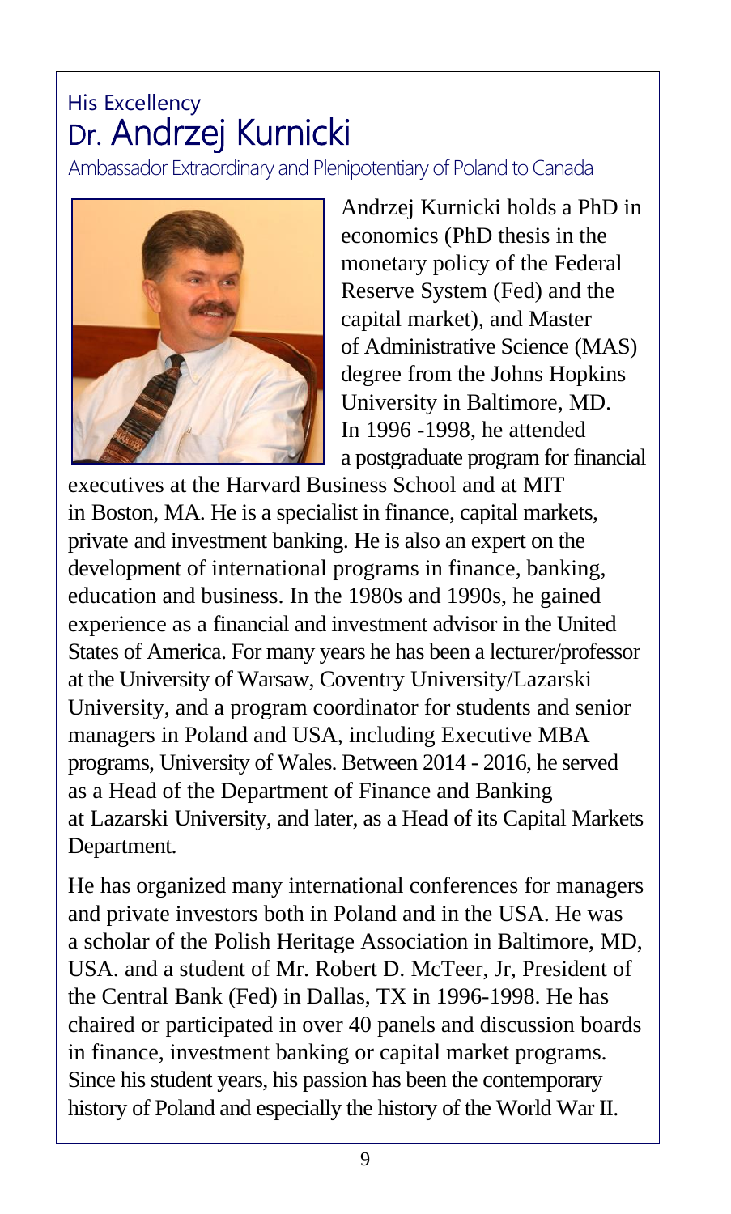### His Excellency Dr. Andrzej Kurnicki

Ambassador Extraordinary and Plenipotentiary of Poland to Canada



Andrzej Kurnicki holds a PhD in economics (PhD thesis in the monetary policy of the Federal Reserve System (Fed) and the capital market), and Master of Administrative Science (MAS) degree from the Johns Hopkins University in Baltimore, MD. In 1996 -1998, he attended a postgraduate program for financial

executives at the Harvard Business School and at MIT in Boston, MA. He is a specialist in finance, capital markets, private and investment banking. He is also an expert on the development of international programs in finance, banking, education and business. In the 1980s and 1990s, he gained experience as a financial and investment advisor in the United States of America. For many years he has been a lecturer/professor at the University of Warsaw, Coventry University/Lazarski University, and a program coordinator for students and senior managers in Poland and USA, including Executive MBA programs, University of Wales. Between 2014 - 2016, he served as a Head of the Department of Finance and Banking at Lazarski University, and later, as a Head of its Capital Markets Department.

He has organized many international conferences for managers and private investors both in Poland and in the USA. He was a scholar of the Polish Heritage Association in Baltimore, MD, USA. and a student of Mr. Robert D. McTeer, Jr, President of the Central Bank (Fed) in Dallas, TX in 1996-1998. He has chaired or participated in over 40 panels and discussion boards in finance, investment banking or capital market programs. Since his student years, his passion has been the contemporary history of Poland and especially the history of the World War II.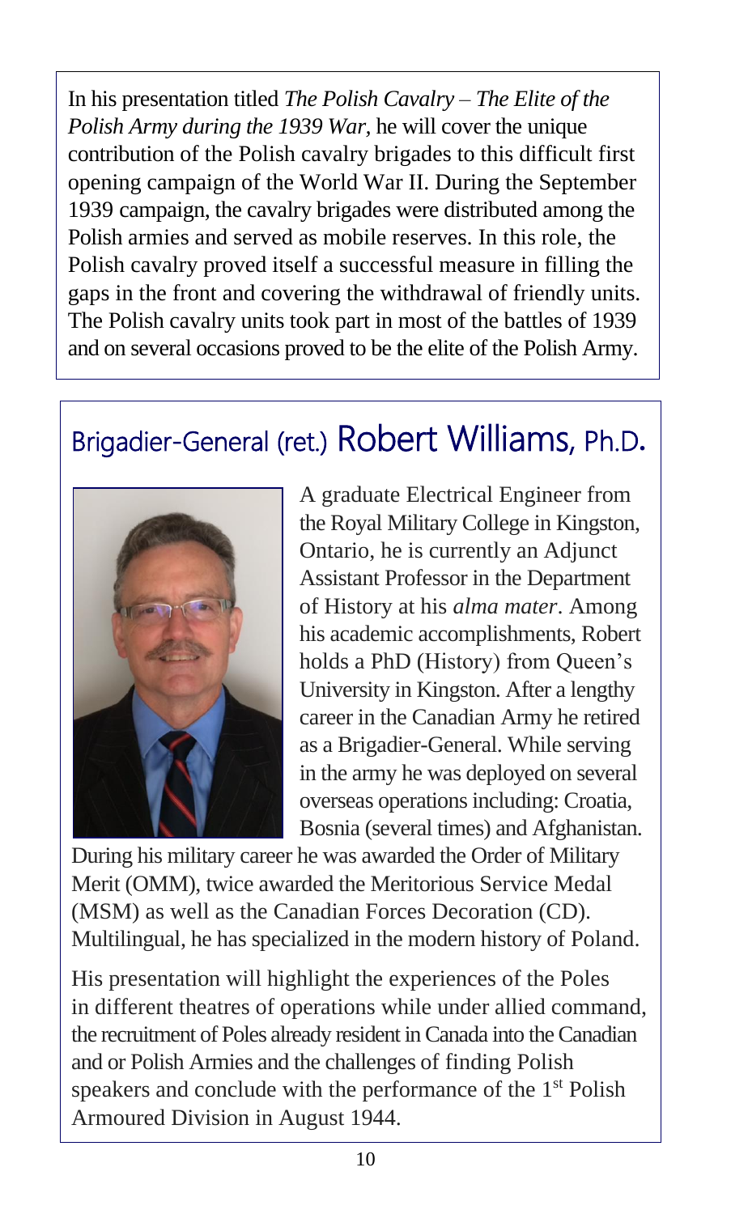In his presentation titled *The Polish Cavalry – The Elite of the Polish Army during the 1939 War,* he will cover the unique contribution of the Polish cavalry brigades to this difficult first opening campaign of the World War II. During the September 1939 campaign, the cavalry brigades were distributed among the Polish armies and served as mobile reserves. In this role, the Polish cavalry proved itself a successful measure in filling the gaps in the front and covering the withdrawal of friendly units. The Polish cavalry units took part in most of the battles of 1939 and on several occasions proved to be the elite of the Polish Army.

## Brigadier-General (ret.) Robert Williams, Ph.D**.**



A graduate Electrical Engineer from the Royal Military College in Kingston, Ontario, he is currently an Adjunct Assistant Professor in the Department of History at his *alma mater*. Among his academic accomplishments, Robert holds a PhD (History) from Queen's University in Kingston. After a lengthy career in the Canadian Army he retired as a Brigadier-General. While serving in the army he was deployed on several overseas operations including: Croatia, Bosnia (several times) and Afghanistan.

During his military career he was awarded the Order of Military Merit (OMM), twice awarded the Meritorious Service Medal (MSM) as well as the Canadian Forces Decoration (CD). Multilingual, he has specialized in the modern history of Poland.

His presentation will highlight the experiences of the Poles in different theatres of operations while under allied command, the recruitment of Poles already resident in Canada into the Canadian and or Polish Armies and the challenges of finding Polish speakers and conclude with the performance of the 1<sup>st</sup> Polish Armoured Division in August 1944.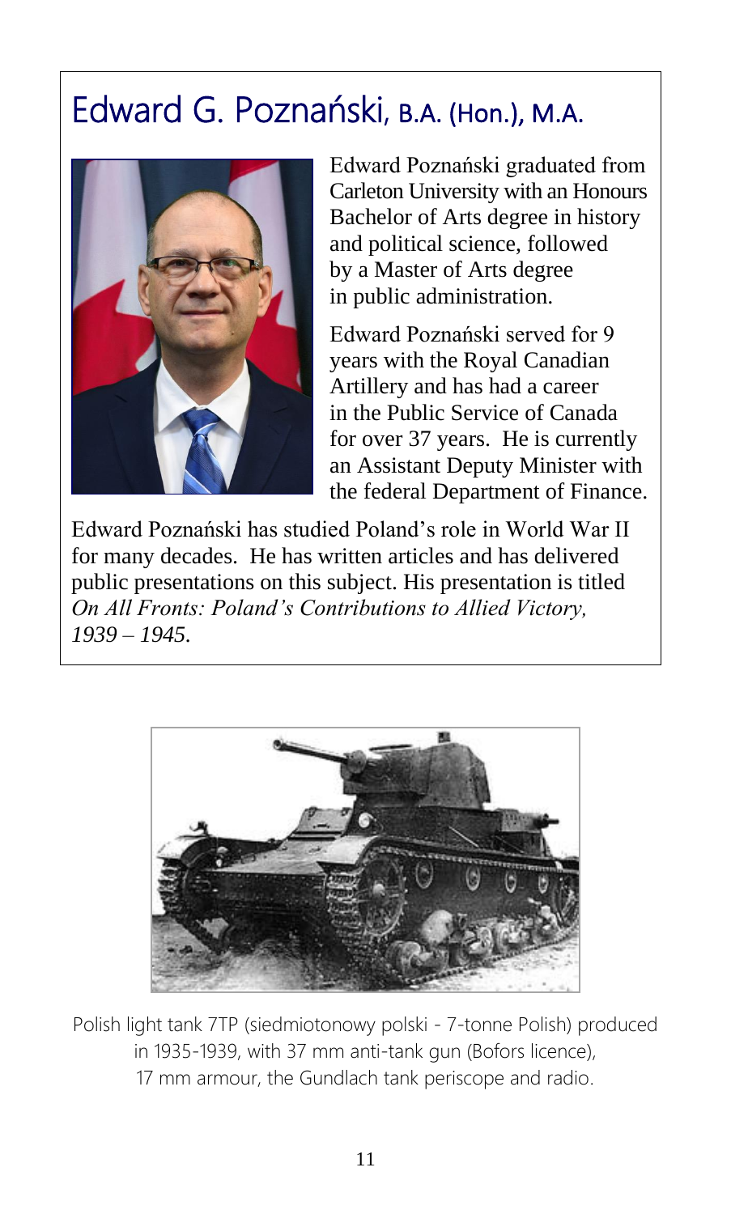# Edward G. Poznański, B.A. (Hon.), M.A.



Edward Poznański graduated from Carleton University with an Honours Bachelor of Arts degree in history and political science, followed by a Master of Arts degree in public administration.

Edward Poznański served for 9 years with the Royal Canadian Artillery and has had a career in the Public Service of Canada for over 37 years. He is currently an Assistant Deputy Minister with the federal Department of Finance.

Edward Poznański has studied Poland's role in World War II for many decades. He has written articles and has delivered public presentations on this subject. His presentation is titled *On All Fronts: Poland's Contributions to Allied Victory, 1939 – 1945.*



Polish light tank 7TP (siedmiotonowy polski - 7-tonne Polish) produced in 1935-1939, with 37 mm anti-tank gun (Bofors licence), 17 mm armour, the Gundlach tank periscope and radio.